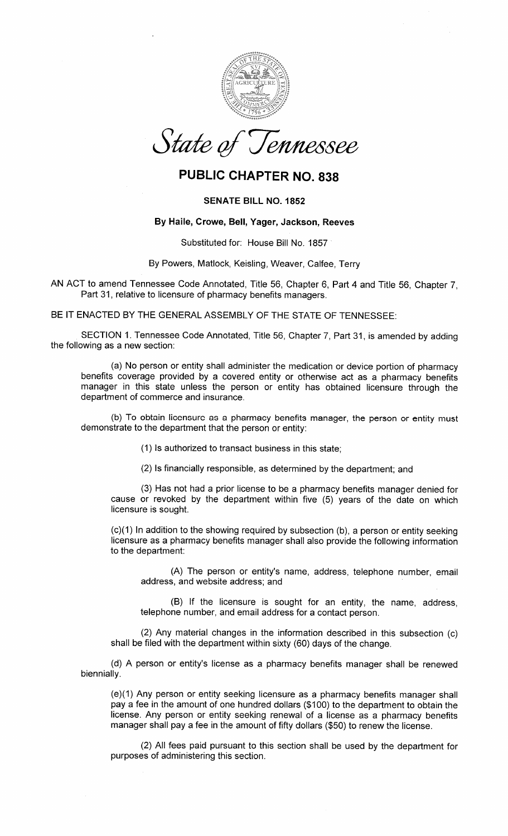

## PUBLIC CHAPTER NO. 838

## SENATE BILL NO. 1852

## By Haile, Crowe, Bell, Yager, Jackson, Reeves

Substituted for: House Bill No. 1857

By Powers, Matlock, Keisling, Weaver, Calfee, Terry

AN ACT to amend Tennessee Code Annotated, Title 56, Chapter 6, Part 4 and Title 56, Chapter 7,Part 31, relative to licensure of pharmacy benefits managers.

BE IT ENACTED BY THE GENERAL ASSEMBLY OF THE STATE OF TENNESSEE:

SECTION 1. Tennessee Code Annotated, Title 56, Chapter 7, Part 31, is amended by addingthe following as a new section:

(a) No person or entity shall administer the medication or device portion of pharmacybenefits coverage provided by a covered entity or otherwise act as a pharmacy benefits manager in this state unless the person or entity has obtained licensure through thedepartment of commerce and insurance.

(b) To obtain licensure as a pharmacy benefits manager, the person or entity must demonstrate to the department that the person or entity:

(1) ls authorized to transact business in this state;

(2) ls financially responsible, as determined by the department; and

(3) Has not had a prior license to be a pharmacy benefits manager denied for cause or revoked by the department within five (5) years of the date on whichIicensure is sought.

(c)(1) ln addition to the showing required by subsection (b), a person or entity seeking licensure as a pharmacy benefits manager shall also provide the following informationto the department:

(A) The person or entity's name, address, telephone number, emailaddress, and website address; and

(B) lf the licensure is sought for an entity, the name, address,telephone number, and email address for a contact person.

(2) Any material changes in the information described in this subsection (c)shall be filed with the department within sixty (60) days of the change.

(d) A person or entity's license as a pharmacy benefits manager shall be renewedbiennially.

(e)(1) Any person or entity seeking licensure as a pharmacy benefits manager shall pay a fee in the amount of one hundred dollars (\$100) to the department to obtain the license. Any person or entity seeking renewal of a license as a pharmacy benefitsmanager shall pay a fee in the amount of fifty dollars (\$50) to renew the license.

(2) All fees paid pursuant to this section shall be used by the department forpurposes of administering this section.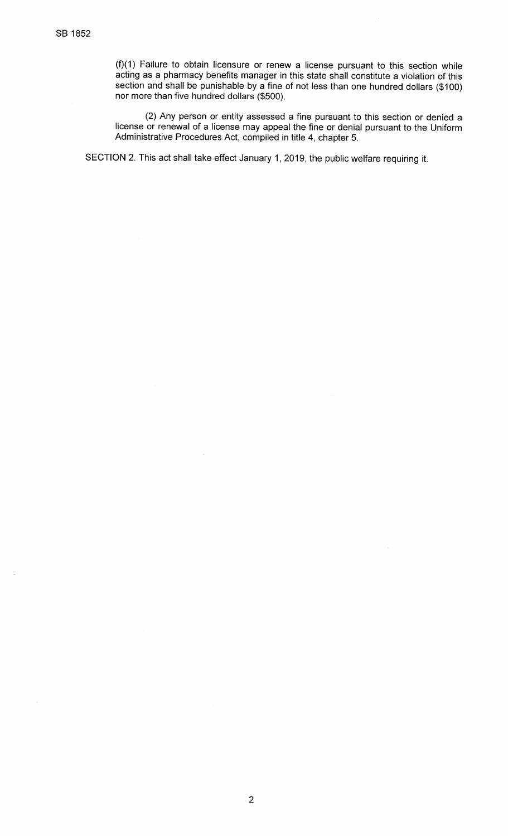(f)(1) Failure to obtain licensure or renew a license pursuant to this section while acting as a pharmacy benefits manager in this state shall constitute a violation of this section and shall be punishable by a fine of not less than one hundred dollars (\$1001nor more than five hundred dollars (\$500).

(2) Any person or entity assessed a fine pursuant to this section or denied a license or renewal of a license may appeal the fine or denial pursuant to the UniformAdministrative Procedures Act, compiled in title 4, chapter 5.

SECTION 2. This act shall take effect January 1, 2019, the public welfare requiring it.